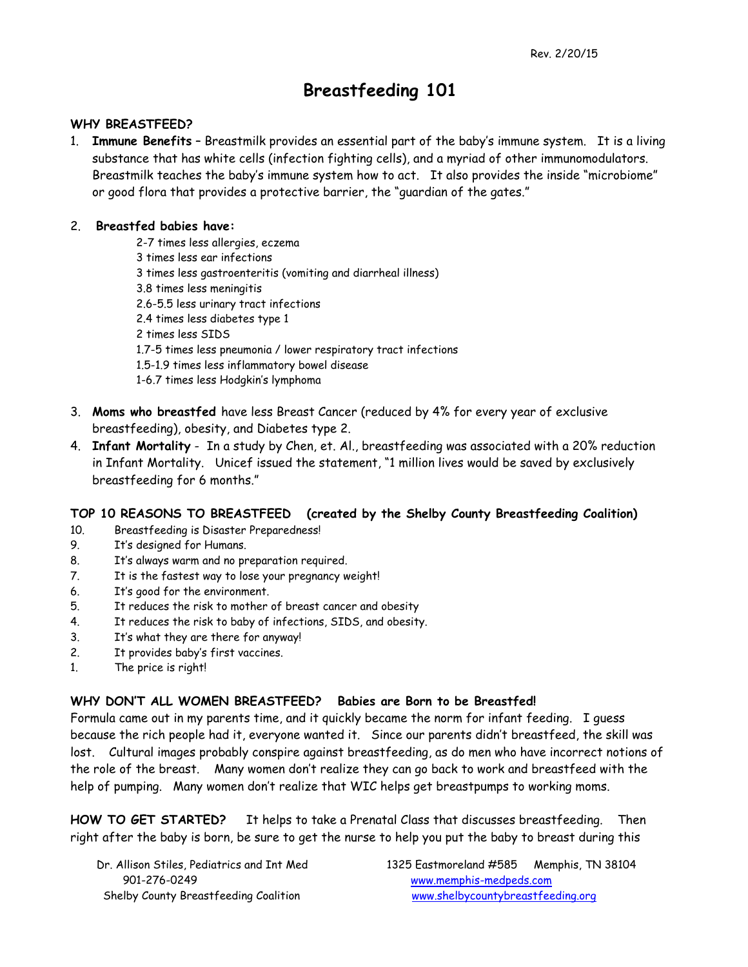# **Breastfeeding 101**

#### **WHY BREASTFEED?**

1. **Immune Benefits** – Breastmilk provides an essential part of the baby's immune system. It is a living substance that has white cells (infection fighting cells), and a myriad of other immunomodulators. Breastmilk teaches the baby's immune system how to act. It also provides the inside "microbiome" or good flora that provides a protective barrier, the "guardian of the gates."

#### 2. **Breastfed babies have:**

- 2-7 times less allergies, eczema 3 times less ear infections 3 times less gastroenteritis (vomiting and diarrheal illness) 3.8 times less meningitis 2.6-5.5 less urinary tract infections 2.4 times less diabetes type 1 2 times less SIDS 1.7-5 times less pneumonia / lower respiratory tract infections 1.5-1.9 times less inflammatory bowel disease 1-6.7 times less Hodgkin's lymphoma
- 3. **Moms who breastfed** have less Breast Cancer (reduced by 4% for every year of exclusive breastfeeding), obesity, and Diabetes type 2.
- 4. **Infant Mortality** In a study by Chen, et. Al., breastfeeding was associated with a 20% reduction in Infant Mortality. Unicef issued the statement, "1 million lives would be saved by exclusively breastfeeding for 6 months."

#### **TOP 10 REASONS TO BREASTFEED (created by the Shelby County Breastfeeding Coalition)**

- 10. Breastfeeding is Disaster Preparedness!
- 9. It's designed for Humans.
- 8. It's always warm and no preparation required.
- 7. It is the fastest way to lose your pregnancy weight!
- 6. It's good for the environment.
- 5. It reduces the risk to mother of breast cancer and obesity
- 4. It reduces the risk to baby of infections, SIDS, and obesity.
- 3. It's what they are there for anyway!
- 2. It provides baby's first vaccines.
- 1. The price is right!

#### **WHY DON'T ALL WOMEN BREASTFEED? Babies are Born to be Breastfed!**

Formula came out in my parents time, and it quickly became the norm for infant feeding. I guess because the rich people had it, everyone wanted it. Since our parents didn't breastfeed, the skill was lost. Cultural images probably conspire against breastfeeding, as do men who have incorrect notions of the role of the breast. Many women don't realize they can go back to work and breastfeed with the help of pumping. Many women don't realize that WIC helps get breastpumps to working moms.

**HOW TO GET STARTED?** It helps to take a Prenatal Class that discusses breastfeeding. Then right after the baby is born, be sure to get the nurse to help you put the baby to breast during this

901-276-0249 www.memphis-medpeds.com

 Dr. Allison Stiles, Pediatrics and Int Med 1325 Eastmoreland #585 Memphis, TN 38104 Shelby County Breastfeeding Coalition www.shelbycountybreastfeeding.org